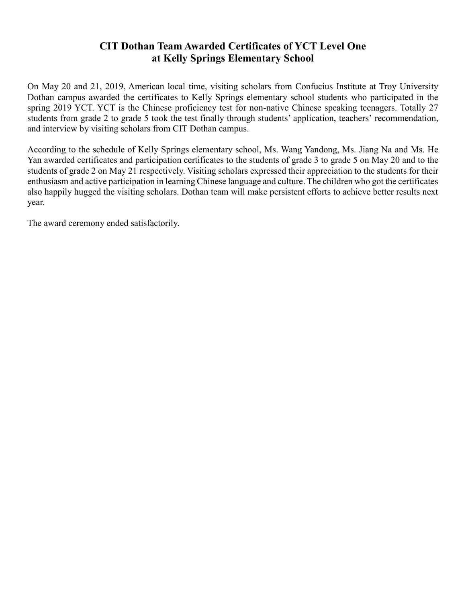## **CIT Dothan Team Awarded Certificates of YCT Level One at Kelly Springs Elementary School**

On May 20 and 21, 2019, American local time, visiting scholars from Confucius Institute at Troy University Dothan campus awarded the certificates to Kelly Springs elementary school students who participated in the spring 2019 YCT. YCT is the Chinese proficiency test for non-native Chinese speaking teenagers. Totally 27 students from grade 2 to grade 5 took the test finally through students' application, teachers' recommendation, and interview by visiting scholars from CIT Dothan campus.

According to the schedule of Kelly Springs elementary school, Ms. Wang Yandong, Ms. Jiang Na and Ms. He Yan awarded certificates and participation certificates to the students of grade 3 to grade 5 on May 20 and to the students of grade 2 on May 21 respectively. Visiting scholars expressed their appreciation to the students for their enthusiasm and active participation in learning Chinese language and culture. The children who got the certificates also happily hugged the visiting scholars. Dothan team will make persistent efforts to achieve better results next year.

The award ceremony ended satisfactorily.